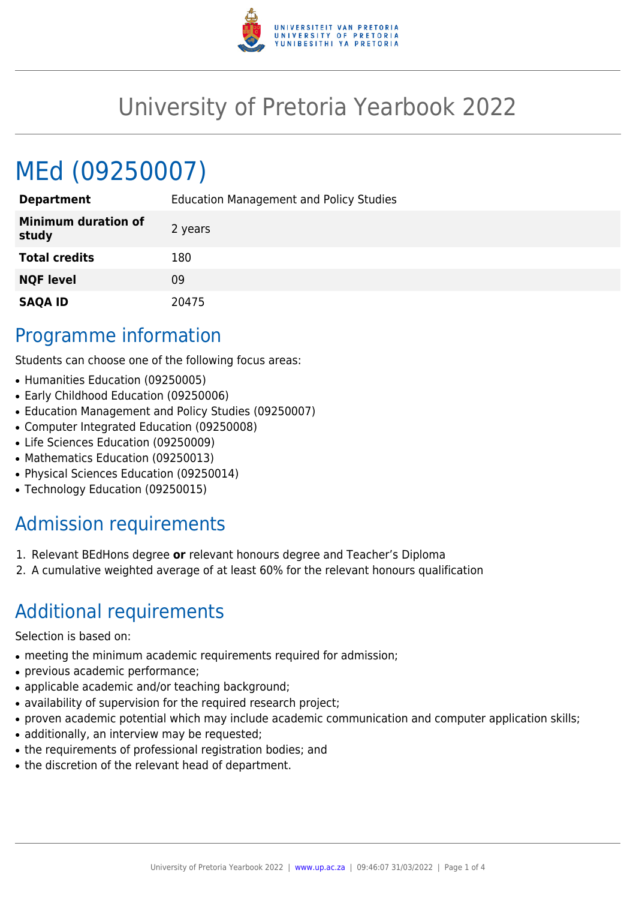

# University of Pretoria Yearbook 2022

# MEd (09250007)

| <b>Department</b>                   | <b>Education Management and Policy Studies</b> |
|-------------------------------------|------------------------------------------------|
| <b>Minimum duration of</b><br>study | 2 years                                        |
| <b>Total credits</b>                | 180                                            |
| <b>NQF level</b>                    | 09                                             |
| <b>SAQA ID</b>                      | 20475                                          |

# Programme information

Students can choose one of the following focus areas:

- Humanities Education (09250005)
- Early Childhood Education (09250006)
- Education Management and Policy Studies (09250007)
- Computer Integrated Education (09250008)
- Life Sciences Education (09250009)
- Mathematics Education (09250013)
- Physical Sciences Education (09250014)
- Technology Education (09250015)

# Admission requirements

- 1. Relevant BEdHons degree **or** relevant honours degree and Teacher's Diploma
- 2. A cumulative weighted average of at least 60% for the relevant honours qualification

# Additional requirements

Selection is based on:

- meeting the minimum academic requirements required for admission;
- previous academic performance;
- applicable academic and/or teaching background;
- availability of supervision for the required research project;
- proven academic potential which may include academic communication and computer application skills;
- additionally, an interview may be requested;
- the requirements of professional registration bodies; and
- the discretion of the relevant head of department.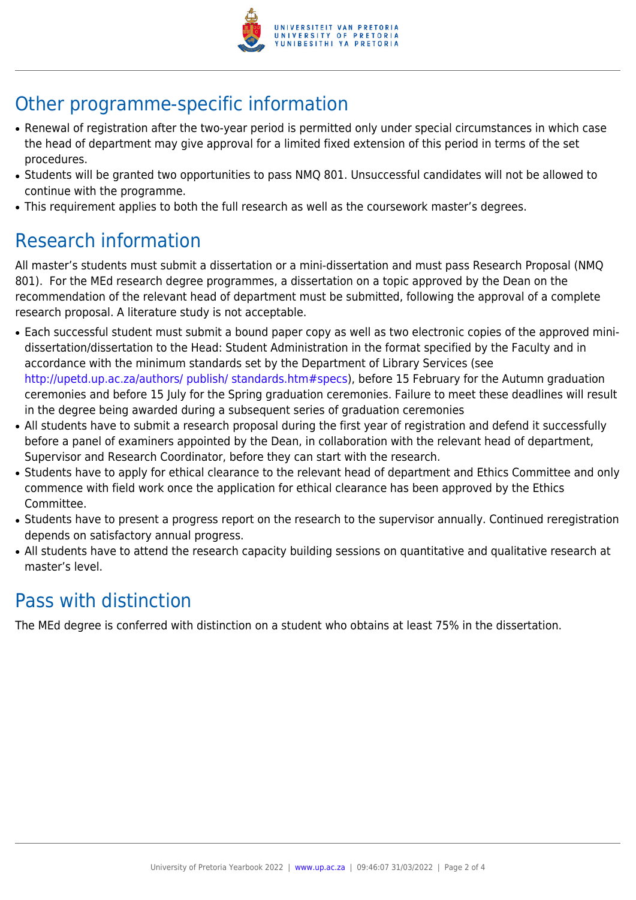

# Other programme-specific information

- Renewal of registration after the two-year period is permitted only under special circumstances in which case the head of department may give approval for a limited fixed extension of this period in terms of the set procedures.
- Students will be granted two opportunities to pass NMQ 801. Unsuccessful candidates will not be allowed to continue with the programme.
- This requirement applies to both the full research as well as the coursework master's degrees.

# Research information

All master's students must submit a dissertation or a mini-dissertation and must pass Research Proposal (NMQ 801). For the MEd research degree programmes, a dissertation on a topic approved by the Dean on the recommendation of the relevant head of department must be submitted, following the approval of a complete research proposal. A literature study is not acceptable.

- Each successful student must submit a bound paper copy as well as two electronic copies of the approved minidissertation/dissertation to the Head: Student Administration in the format specified by the Faculty and in accordance with the minimum standards set by the Department of Library Services (see <http://upetd.up.ac.za/authors/ publish/ standards.htm#specs>), before 15 February for the Autumn graduation ceremonies and before 15 July for the Spring graduation ceremonies. Failure to meet these deadlines will result in the degree being awarded during a subsequent series of graduation ceremonies
- All students have to submit a research proposal during the first year of registration and defend it successfully before a panel of examiners appointed by the Dean, in collaboration with the relevant head of department, Supervisor and Research Coordinator, before they can start with the research.
- Students have to apply for ethical clearance to the relevant head of department and Ethics Committee and only commence with field work once the application for ethical clearance has been approved by the Ethics Committee.
- Students have to present a progress report on the research to the supervisor annually. Continued reregistration depends on satisfactory annual progress.
- All students have to attend the research capacity building sessions on quantitative and qualitative research at master's level.

# Pass with distinction

The MEd degree is conferred with distinction on a student who obtains at least 75% in the dissertation.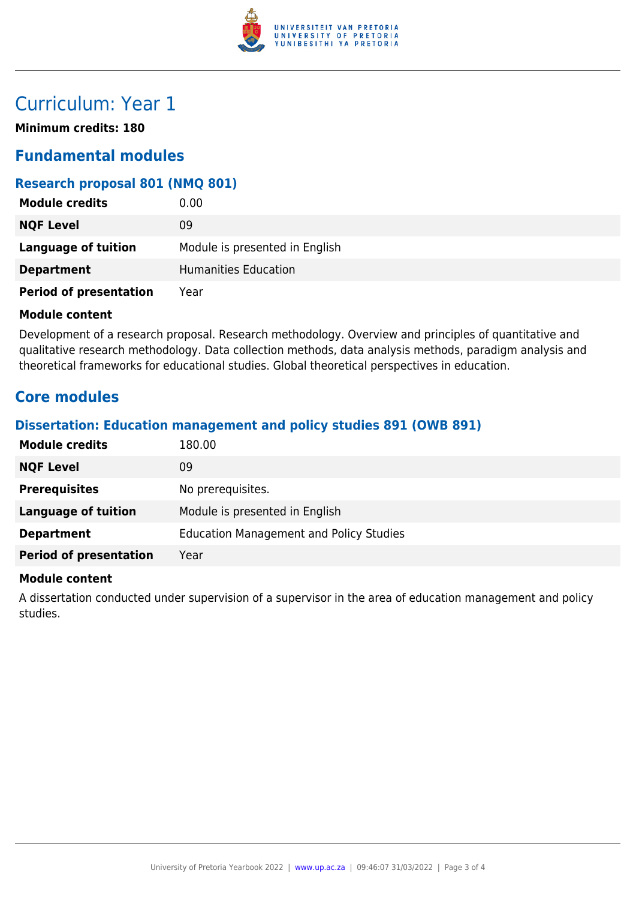

# Curriculum: Year 1

**Minimum credits: 180**

### **Fundamental modules**

### **Research proposal 801 (NMQ 801)**

| <b>Module credits</b>         | 0.00                           |
|-------------------------------|--------------------------------|
| <b>NQF Level</b>              | 09                             |
| Language of tuition           | Module is presented in English |
| <b>Department</b>             | <b>Humanities Education</b>    |
| <b>Period of presentation</b> | Year                           |

#### **Module content**

Development of a research proposal. Research methodology. Overview and principles of quantitative and qualitative research methodology. Data collection methods, data analysis methods, paradigm analysis and theoretical frameworks for educational studies. Global theoretical perspectives in education.

### **Core modules**

### **Dissertation: Education management and policy studies 891 (OWB 891)**

| <b>Module credits</b>         | 180.00                                         |
|-------------------------------|------------------------------------------------|
| <b>NQF Level</b>              | 09                                             |
| <b>Prerequisites</b>          | No prerequisites.                              |
| Language of tuition           | Module is presented in English                 |
| <b>Department</b>             | <b>Education Management and Policy Studies</b> |
| <b>Period of presentation</b> | Year                                           |

#### **Module content**

A dissertation conducted under supervision of a supervisor in the area of education management and policy studies.